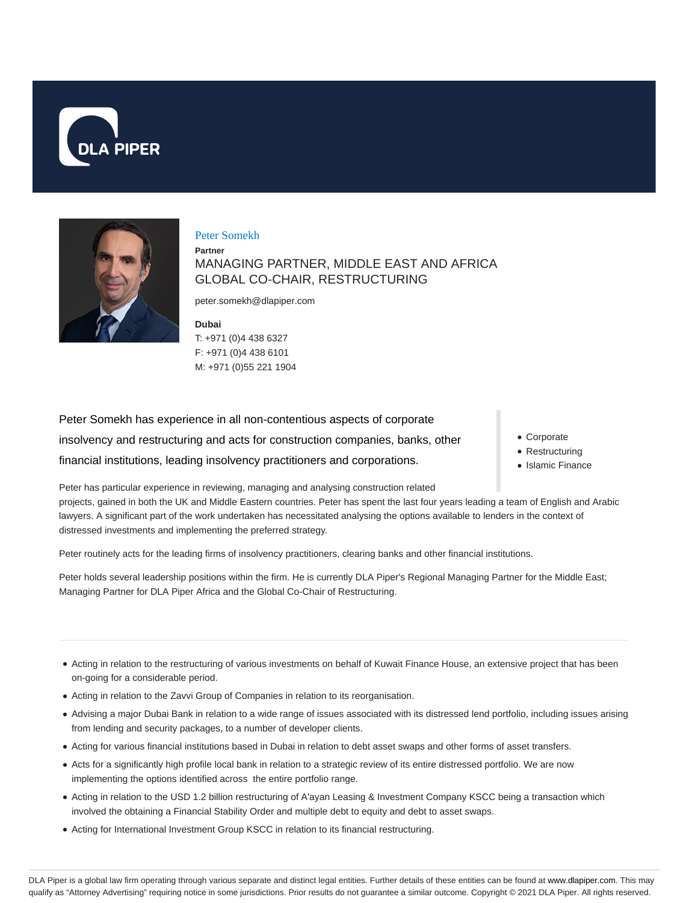



### Peter Somekh

**Partner** MANAGING PARTNER, MIDDLE EAST AND AFRICA GLOBAL CO-CHAIR, RESTRUCTURING

peter.somekh@dlapiper.com

**Dubai** T: +971 (0)4 438 6327 F: +971 (0)4 438 6101 M: +971 (0)55 221 1904

Peter Somekh has experience in all non-contentious aspects of corporate insolvency and restructuring and acts for construction companies, banks, other financial institutions, leading insolvency practitioners and corporations.

- Corporate
- Restructuring
- Islamic Finance

Peter has particular experience in reviewing, managing and analysing construction related projects, gained in both the UK and Middle Eastern countries. Peter has spent the last four years leading a team of English and Arabic lawyers. A significant part of the work undertaken has necessitated analysing the options available to lenders in the context of distressed investments and implementing the preferred strategy.

Peter routinely acts for the leading firms of insolvency practitioners, clearing banks and other financial institutions.

Peter holds several leadership positions within the firm. He is currently DLA Piper's Regional Managing Partner for the Middle East; Managing Partner for DLA Piper Africa and the Global Co-Chair of Restructuring.

- Acting in relation to the restructuring of various investments on behalf of Kuwait Finance House, an extensive project that has been on-going for a considerable period.
- Acting in relation to the Zavvi Group of Companies in relation to its reorganisation.
- Advising a major Dubai Bank in relation to a wide range of issues associated with its distressed lend portfolio, including issues arising from lending and security packages, to a number of developer clients.
- Acting for various financial institutions based in Dubai in relation to debt asset swaps and other forms of asset transfers.
- Acts for a significantly high profile local bank in relation to a strategic review of its entire distressed portfolio. We are now implementing the options identified across the entire portfolio range.
- Acting in relation to the USD 1.2 billion restructuring of A'ayan Leasing & Investment Company KSCC being a transaction which involved the obtaining a Financial Stability Order and multiple debt to equity and debt to asset swaps.
- Acting for International Investment Group KSCC in relation to its financial restructuring.